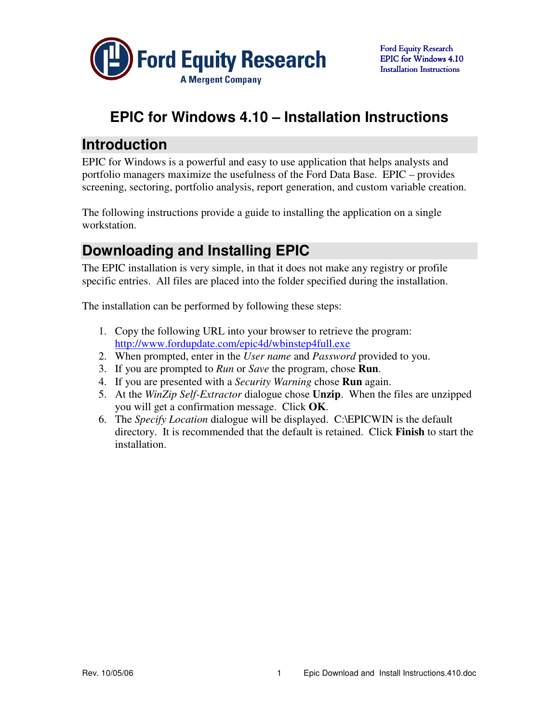

# **EPIC for Windows 4.10 – Installation Instructions**

## **Introduction**

EPIC for Windows is a powerful and easy to use application that helps analysts and portfolio managers maximize the usefulness of the Ford Data Base. EPIC – provides screening, sectoring, portfolio analysis, report generation, and custom variable creation.

The following instructions provide a guide to installing the application on a single workstation.

# **Downloading and Installing EPIC**

The EPIC installation is very simple, in that it does not make any registry or profile specific entries. All files are placed into the folder specified during the installation.

The installation can be performed by following these steps:

- 1. Copy the following URL into your browser to retrieve the program: http://www.fordupdate.com/epic4d/wbinstep4full.exe
- 2. When prompted, enter in the *User name* and *Password* provided to you.
- 3. If you are prompted to *Run* or *Save* the program, chose **Run**.
- 4. If you are presented with a *Security Warning* chose **Run** again.
- 5. At the *WinZip Self-Extractor* dialogue chose **Unzip**. When the files are unzipped you will get a confirmation message. Click **OK**.
- 6. The *Specify Location* dialogue will be displayed. C:\EPICWIN is the default directory. It is recommended that the default is retained. Click **Finish** to start the installation.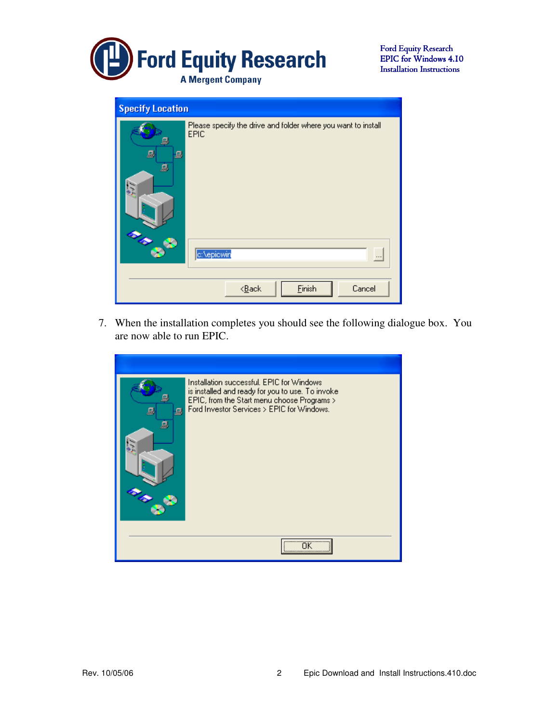

| <b>Specify Location</b> |                                                                                     |
|-------------------------|-------------------------------------------------------------------------------------|
| 믜<br>д<br>鳳<br>g        | Please specify the drive and folder where you want to install<br>EPIC<br>c:\epicwin |
|                         | Einish<br>Cancel<br>$<\!\underline{\mathsf{B}}\text{ack}$                           |

7. When the installation completes you should see the following dialogue box. You are now able to run EPIC.

| 圓<br>д | Installation successful, EPIC for Windows<br>is installed and ready for you to use. To invoke<br>EPIC, from the Start menu choose Programs ><br>Ford Investor Services > EPIC for Windows. |
|--------|--------------------------------------------------------------------------------------------------------------------------------------------------------------------------------------------|
|        |                                                                                                                                                                                            |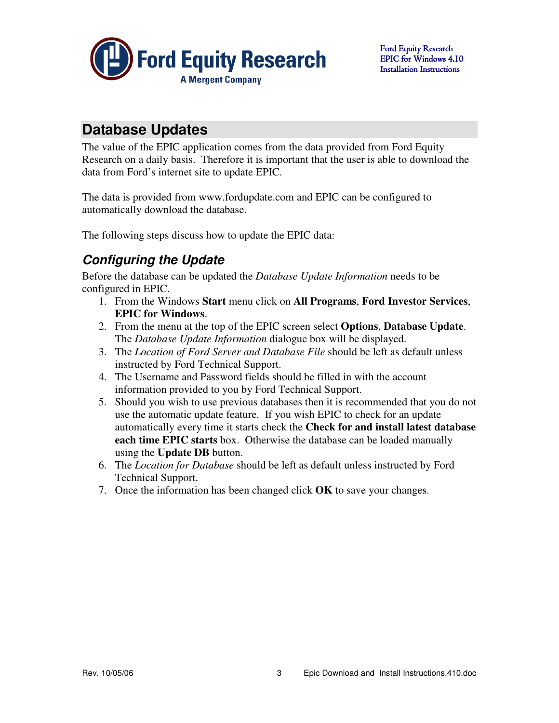

## **Database Updates**

The value of the EPIC application comes from the data provided from Ford Equity Research on a daily basis. Therefore it is important that the user is able to download the data from Ford's internet site to update EPIC.

The data is provided from www.fordupdate.com and EPIC can be configured to automatically download the database.

The following steps discuss how to update the EPIC data:

### **Configuring the Update**

Before the database can be updated the *Database Update Information* needs to be configured in EPIC.

- 1. From the Windows **Start** menu click on **All Programs**, **Ford Investor Services**, **EPIC for Windows**.
- 2. From the menu at the top of the EPIC screen select **Options**, **Database Update**. The *Database Update Information* dialogue box will be displayed.
- 3. The *Location of Ford Server and Database File* should be left as default unless instructed by Ford Technical Support.
- 4. The Username and Password fields should be filled in with the account information provided to you by Ford Technical Support.
- 5. Should you wish to use previous databases then it is recommended that you do not use the automatic update feature. If you wish EPIC to check for an update automatically every time it starts check the **Check for and install latest database each time EPIC starts** box. Otherwise the database can be loaded manually using the **Update DB** button.
- 6. The *Location for Database* should be left as default unless instructed by Ford Technical Support.
- 7. Once the information has been changed click **OK** to save your changes.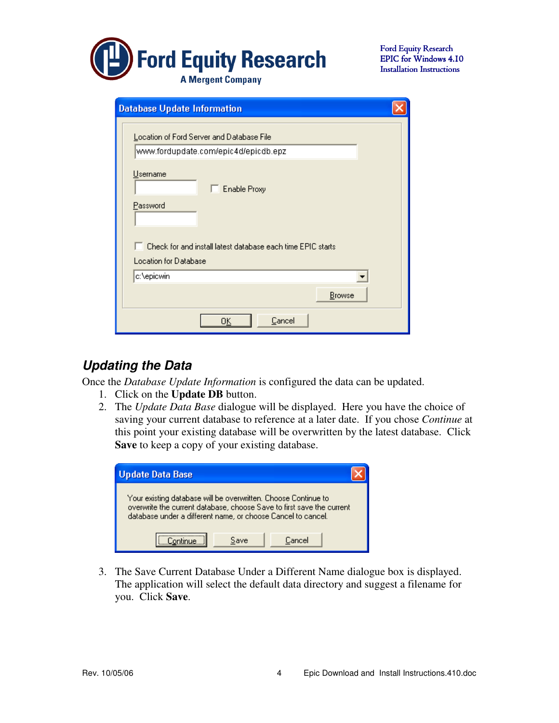

| <b>Database Update Information</b>                                                |  |  |  |  |  |  |
|-----------------------------------------------------------------------------------|--|--|--|--|--|--|
| Location of Ford Server and Database File<br>www.fordupdate.com/epic4d/epicdb.epz |  |  |  |  |  |  |
| Username<br><b>Enable Proxy</b>                                                   |  |  |  |  |  |  |
| Password                                                                          |  |  |  |  |  |  |
| Check for and install latest database each time EPIC starts                       |  |  |  |  |  |  |
| Location for Database                                                             |  |  |  |  |  |  |
| c:\epicwin                                                                        |  |  |  |  |  |  |
| Browse                                                                            |  |  |  |  |  |  |
| Cancel<br>OΚ                                                                      |  |  |  |  |  |  |

#### **Updating the Data**

Once the *Database Update Information* is configured the data can be updated.

- 1. Click on the **Update DB** button.
- 2. The *Update Data Base* dialogue will be displayed. Here you have the choice of saving your current database to reference at a later date. If you chose *Continue* at this point your existing database will be overwritten by the latest database. Click **Save** to keep a copy of your existing database.

| Update Data Base                                                                                                                                                                                        |  |  |  |  |  |  |  |  |
|---------------------------------------------------------------------------------------------------------------------------------------------------------------------------------------------------------|--|--|--|--|--|--|--|--|
| Your existing database will be overwritten. Choose Continue to<br>overwrite the current database, choose Save to first save the current<br>database under a different name, or choose Cancel to cancel. |  |  |  |  |  |  |  |  |
| Cancel<br>Save                                                                                                                                                                                          |  |  |  |  |  |  |  |  |

3. The Save Current Database Under a Different Name dialogue box is displayed. The application will select the default data directory and suggest a filename for you. Click **Save**.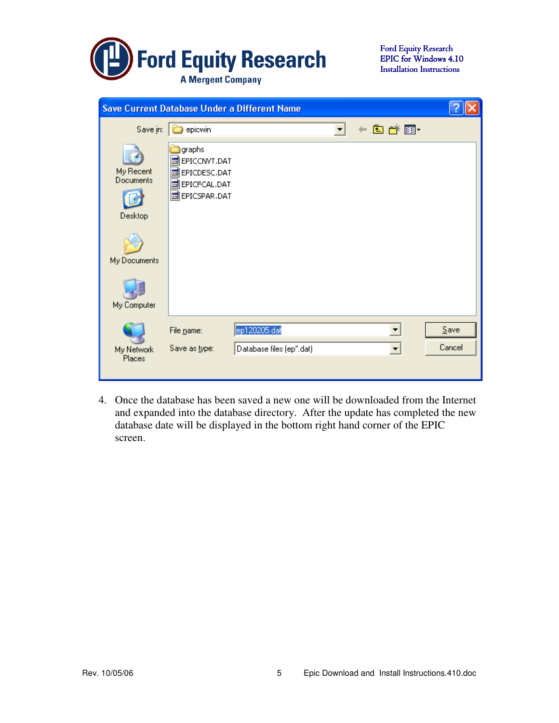

| Save Current Database Under a Different Name |                                                                                                   |                          |  |          |         |  |
|----------------------------------------------|---------------------------------------------------------------------------------------------------|--------------------------|--|----------|---------|--|
| Save in:                                     | epicwin                                                                                           |                          |  | + 图 合 丽- |         |  |
| My Recent<br>Documents<br>Desktop            | graphs<br>B EPICCNVT.DAT<br><b>同EPICDESC.DAT</b><br><b>同EPICFCAL.DAT</b><br><b>d</b> EPICSPAR.DAT |                          |  |          |         |  |
| My Documents                                 |                                                                                                   |                          |  |          |         |  |
| My Computer                                  |                                                                                                   |                          |  |          |         |  |
|                                              | File name:                                                                                        | ep120205.dat             |  |          | $S$ ave |  |
| My Network<br>Places                         | Save as type:                                                                                     | Database files (ep*.dat) |  |          | Cancel  |  |

4. Once the database has been saved a new one will be downloaded from the Internet and expanded into the database directory. After the update has completed the new database date will be displayed in the bottom right hand corner of the EPIC screen.